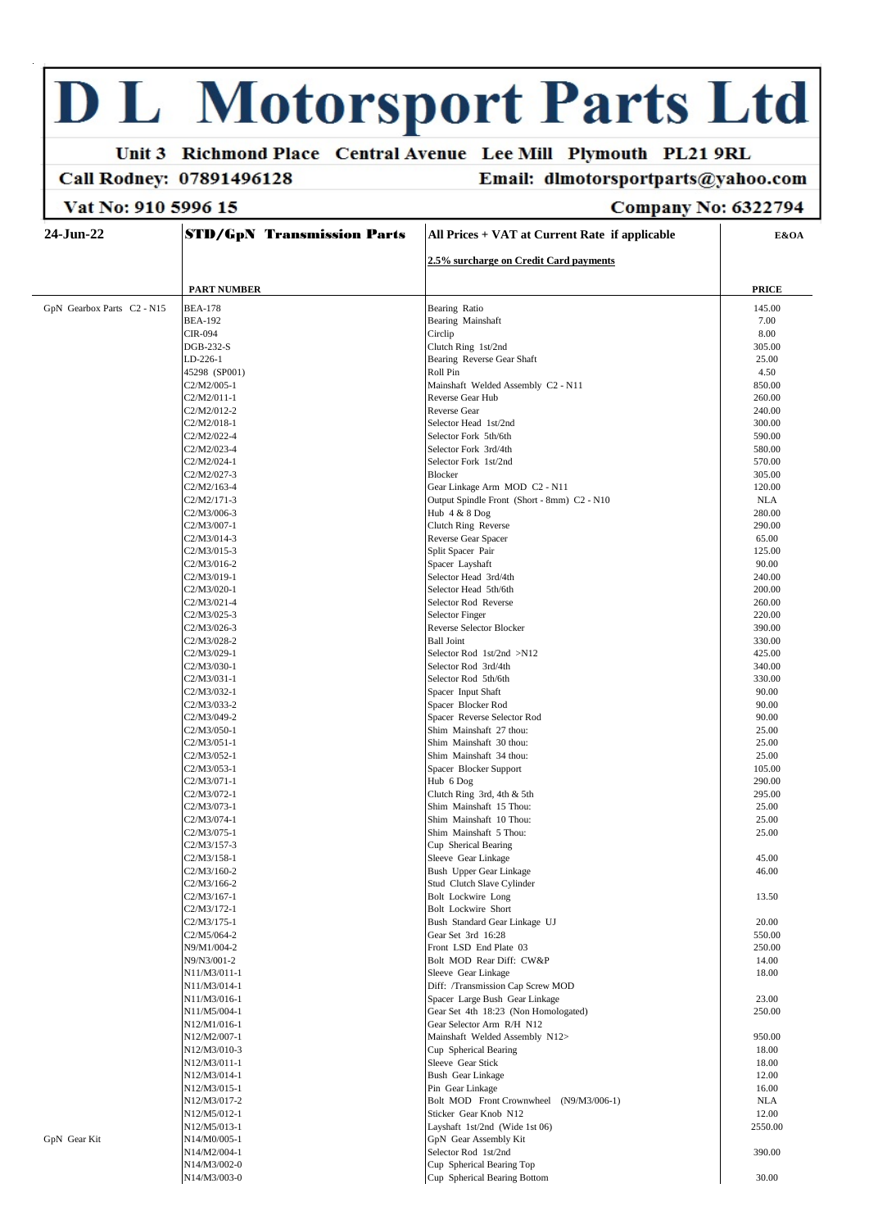# **D L Motorsport Parts Ltd**

N14/M3/003-0

#### Unit 3 Richmond Place Central Avenue Lee Mill Plymouth PL21 9RL Email: dlmotorsportparts@yahoo.com

### Call Rodney: 07891496128

Vat No: 910 5996 15

## **Company No: 6322794**

30.00

#### 24-Jun-22 **STD/GpN Transmission Parts** All Prices + VAT at Current Rate if applicable E&OA 2.5% surcharge on Credit Card payments **PART NUMBER PRICE** GpN Gearbox Parts C2 - N15 **BEA-178 Bearing Ratio** 145.00 Bearing Mainshaft **BEA-192** 7.00  $CIR<sub>-</sub>094$ Circlin  $8.00$ DGB-232-S Clutch Ring 1st/2nd 305.00 LD-226-1 Bearing Reverse Gear Shaft 25.00 45298 (SP001) Roll Pin 4.50 C<sub>2</sub>/M<sub>2</sub>/005-1 850.00 Mainshaft Welded Assembly C2 - N11  $C2/M2/011-1$ Reverse Gear Hub 260.00  $C2/M2/012-2$ Reverse Gear 240.00 C<sub>2</sub>/M<sub>2</sub>/018-1 Selector Head 1st/2nd 300.00  $C2/M2/022-4$ Selector Fork 5th/6th 590.00  $C2/M2/023-4$ Selector Fork 3rd/4th 580.00  $C20020241$ Selector Fork 1st/2nd 570.00 C<sub>2</sub>/M<sub>2</sub>/027-3 Blocker 305.00  $C2/M2/163-4$ Gear Linkage Arm MOD C2 - N11 120.00  $C2/M2/171-3$ Output Spindle Front (Short - 8mm) C2 - N10  $NI.A$ C2/M3/006-3 Hub 4 & 8 Dog 280.00 C<sub>2</sub>/M<sub>3</sub>/007-1 290.00 Clutch Ring Reverse  $C2/M3/014-3$ Reverse Gear Spacer 65.00  $C2/M3/015-3$ Split Spacer Pair 125.00  $C2/M3/016.2$ Spacer Layshaft  $90.00$  $C2/M3/019-1$ Selector Head 3rd/4th 240.00 C2/M3/020-1 Selector Head 5th/6th 200.00 C<sub>2</sub>/M<sub>3</sub>/021-4 Selector Rod Reverse 260.00  $C2/M3/025-3$ **Selector Finger** 220.00 C2/M3/026-3 Reverse Selector Blocker 390.00  $C2/M3/028-2$ **Ball Ioint** 330.00 Selector Rod 1st/2nd >N12  $C2/M3/029-1$ 425.00 C2/M3/030-1 Selector Rod 3rd/4th 340.00  $C2/M3/031-1$ Selector Rod 5th/6th 330.00 Spacer Input Shaft  $C2/M3/032-1$ 90.00 C2/M3/033-2 Spacer Blocker Rod 90.00 C2/M3/049-2 Spacer Reverse Selector Rod 90.00  $C2/M3/050-1$ .<br>Shim Mainshaft 27 thou: 25.00  $C2/M3/051-1$ Shim Mainshaft 30 thou: 25.00  $C2/M3/052-1$ Shim Mainshaft 34 thou: 25.00  $C2/M3/053-1$ Spacer Blocker Support  $105.00$  $C2042/071.1$ Hub 6 Dog 290.00 C<sub>2</sub>/M<sub>3</sub>/07<sub>2-1</sub> Clutch Ring 3rd, 4th & 5th 295.00  $C2/M3/073-1$ Shim Mainshaft 15 Thou: 25.00  $C2/M3/074-1$ Shim Mainshaft 10 Thou: 25.00 C2/M3/075-1 Shim Mainshaft 5 Thou: 25.00 C<sub>2</sub>/M<sub>3</sub>/157-3 Cup Sherical Bearing  $C2/M3/158-1$ Sleeve Gear Linkage 45.00  $C2/M3/160-2$ **Bush Upper Gear Linkage** 46.00 C<sub>2</sub>/M<sub>3</sub>/166-2 Stud Clutch Slave Cylinder  $C2/M3/167-1$ **Bolt Lockwire Long**  $13.50$ C<sub>2</sub>/M<sub>3</sub>/172-1 **Bolt Lockwire Short**  $C2/M3/175-1$ Bush Standard Gear Linkage UJ 20.00  $C2/M5/064-2$ Gear Set 3rd 16:28 550.00 N9/M1/004-2 Front LSD End Plate 03 250.00 N9/N3/001-2 Bolt MOD Rear Diff: CW&P 14.00 N11/M3/011-1 Sleeve Gear Linkage 18.00 N11/M3/014-1 Diff: /Transmission Can Screw MOD N11/M3/016-1 Spacer Large Bush Gear Linkage 23.00 N11/M5/004-1 Gear Set 4th 18:23 (Non Homologated) 250.00 N12/M1/016-1 Gear Selector Arm R/H N12 N12/M2/007-1 Mainshaft Welded Assembly N12> 950.00 N12/M3/010-3 Cup Spherical Bearing 18.00 N12/M3/011-1 18.00 Sleeve Gear Stick N12/M3/014-1  $12.00$ Bush Gear Linkage N12/M3/015-1 Pin Gear Linkage  $16.00$ N12/M3/017-2 Bolt MOD Front Crownwheel (N9/M3/006-1)  $NI A$ N12/M5/012-1  $12.00$ Sticker Gear Knob N12 N12/M5/013-1 Layshaft 1st/2nd (Wide 1st 06) 2550.00 GpN Gear Kit N14/M0/005-1 GpN Gear Assembly Kit N14/M2/004-1 Selector Rod 1st/2nd 390.00 N14/M3/002-0 Cup Spherical Bearing Top

Cup. Spherical Bearing Bottom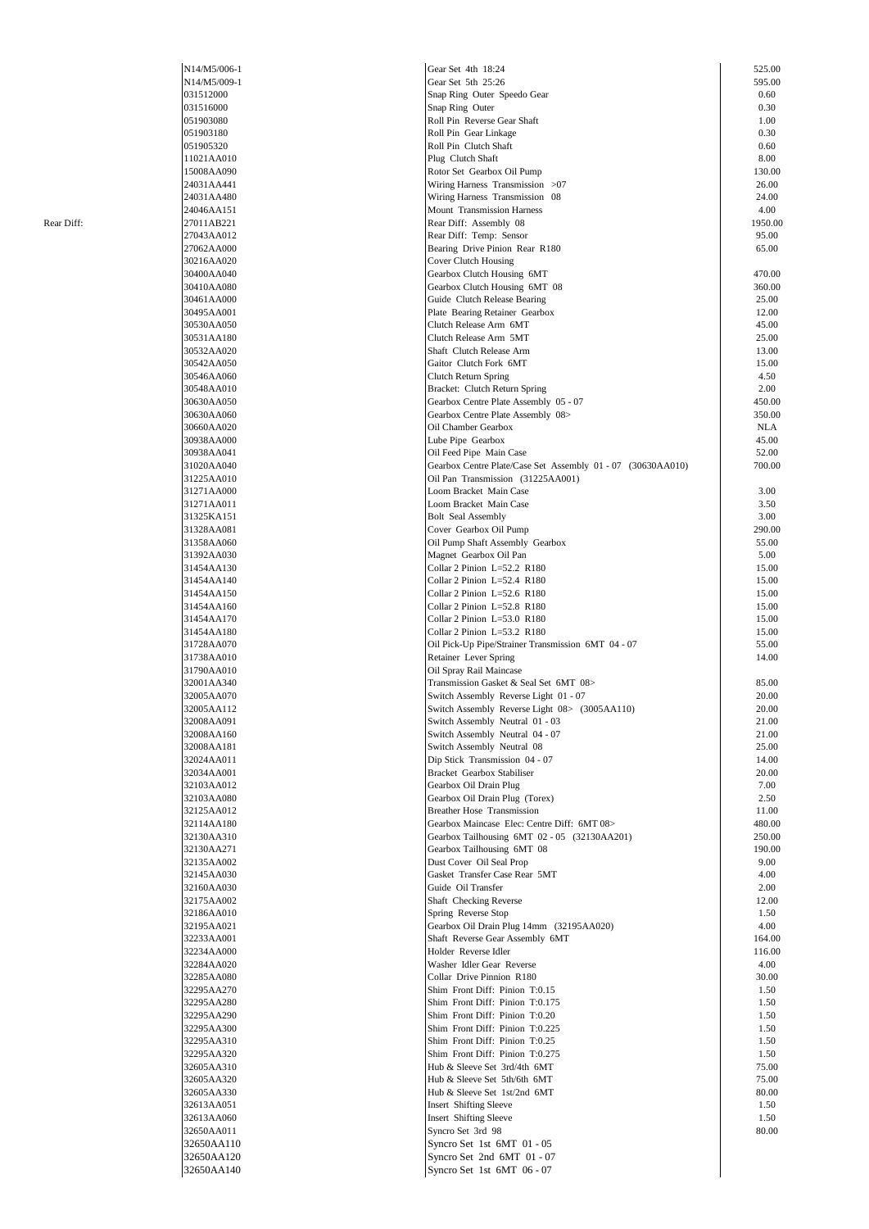|            | N14/M5/006-1 | Gear Set 4th 18:24                                          | 525.00     |
|------------|--------------|-------------------------------------------------------------|------------|
|            | N14/M5/009-1 | Gear Set 5th 25:26                                          | 595.00     |
|            | 031512000    | Snap Ring Outer Speedo Gear                                 | 0.60       |
|            | 031516000    | Snap Ring Outer                                             | 0.30       |
|            |              |                                                             |            |
|            | 051903080    | Roll Pin Reverse Gear Shaft                                 | 1.00       |
|            | 051903180    | Roll Pin Gear Linkage                                       | 0.30       |
|            | 051905320    | Roll Pin Clutch Shaft                                       | 0.60       |
|            | 11021AA010   | Plug Clutch Shaft                                           | 8.00       |
|            | 15008AA090   | Rotor Set Gearbox Oil Pump                                  | 130.00     |
|            | 24031AA441   | Wiring Harness Transmission >07                             | 26.00      |
|            |              |                                                             |            |
|            | 24031AA480   | Wiring Harness Transmission 08                              | 24.00      |
|            | 24046AA151   | Mount Transmission Harness                                  | 4.00       |
| Rear Diff: | 27011AB221   | Rear Diff: Assembly 08                                      | 1950.00    |
|            | 27043AA012   | Rear Diff: Temp: Sensor                                     | 95.00      |
|            | 27062AA000   | Bearing Drive Pinion Rear R180                              | 65.00      |
|            | 30216AA020   | <b>Cover Clutch Housing</b>                                 |            |
|            | 30400AA040   | Gearbox Clutch Housing 6MT                                  | 470.00     |
|            |              |                                                             |            |
|            | 30410AA080   | Gearbox Clutch Housing 6MT 08                               | 360.00     |
|            | 30461AA000   | Guide Clutch Release Bearing                                | 25.00      |
|            | 30495AA001   | Plate Bearing Retainer Gearbox                              | 12.00      |
|            | 30530AA050   | Clutch Release Arm 6MT                                      | 45.00      |
|            | 30531AA180   | Clutch Release Arm 5MT                                      | 25.00      |
|            | 30532AA020   | Shaft Clutch Release Arm                                    | 13.00      |
|            | 30542AA050   | Gaitor Clutch Fork 6MT                                      | 15.00      |
|            |              |                                                             |            |
|            | 30546AA060   | Clutch Return Spring                                        | 4.50       |
|            | 30548AA010   | Bracket: Clutch Return Spring                               | 2.00       |
|            | 30630AA050   | Gearbox Centre Plate Assembly 05 - 07                       | 450.00     |
|            | 30630AA060   | Gearbox Centre Plate Assembly 08>                           | 350.00     |
|            | 30660AA020   | Oil Chamber Gearbox                                         | <b>NLA</b> |
|            | 30938AA000   | Lube Pipe Gearbox                                           | 45.00      |
|            | 30938AA041   |                                                             | 52.00      |
|            |              | Oil Feed Pipe Main Case                                     |            |
|            | 31020AA040   | Gearbox Centre Plate/Case Set Assembly 01 - 07 (30630AA010) | 700.00     |
|            | 31225AA010   | Oil Pan Transmission (31225AA001)                           |            |
|            | 31271AA000   | Loom Bracket Main Case                                      | 3.00       |
|            | 31271AA011   | Loom Bracket Main Case                                      | 3.50       |
|            | 31325KA151   | <b>Bolt</b> Seal Assembly                                   | 3.00       |
|            | 31328AA081   |                                                             | 290.00     |
|            |              | Cover Gearbox Oil Pump                                      |            |
|            | 31358AA060   | Oil Pump Shaft Assembly Gearbox                             | 55.00      |
|            | 31392AA030   | Magnet Gearbox Oil Pan                                      | 5.00       |
|            | 31454AA130   | Collar 2 Pinion $L=52.2$ R180                               | 15.00      |
|            | 31454AA140   | Collar 2 Pinion L=52.4 R180                                 | 15.00      |
|            | 31454AA150   | Collar 2 Pinion $L=52.6$ R180                               | 15.00      |
|            | 31454AA160   | Collar 2 Pinion L=52.8 R180                                 | 15.00      |
|            |              |                                                             |            |
|            | 31454AA170   | Collar 2 Pinion L=53.0 R180                                 | 15.00      |
|            | 31454AA180   | Collar 2 Pinion L=53.2 R180                                 | 15.00      |
|            | 31728AA070   | Oil Pick-Up Pipe/Strainer Transmission 6MT 04 - 07          | 55.00      |
|            | 31738AA010   | Retainer Lever Spring                                       | 14.00      |
|            | 31790AA010   | Oil Spray Rail Maincase                                     |            |
|            | 32001AA340   | Transmission Gasket & Seal Set 6MT 08>                      | 85.00      |
|            |              |                                                             |            |
|            | 32005AA070   | Switch Assembly Reverse Light 01 - 07                       | 20.00      |
|            | 32005AA112   | Switch Assembly Reverse Light 08> (3005AA110)               | 20.00      |
|            | 32008AA091   | Switch Assembly Neutral 01 - 03                             | 21.00      |
|            | 32008AA160   | Switch Assembly Neutral 04 - 07                             | 21.00      |
|            | 32008AA181   | Switch Assembly Neutral 08                                  | 25.00      |
|            | 32024AA011   | Dip Stick Transmission 04 - 07                              | 14.00      |
|            |              |                                                             |            |
|            | 32034AA001   | Bracket Gearbox Stabiliser                                  | 20.00      |
|            | 32103AA012   | Gearbox Oil Drain Plug                                      | 7.00       |
|            | 32103AA080   | Gearbox Oil Drain Plug (Torex)                              | 2.50       |
|            | 32125AA012   | <b>Breather Hose Transmission</b>                           | 11.00      |
|            | 32114AA180   | Gearbox Maincase Elec: Centre Diff: 6MT 08>                 | 480.00     |
|            | 32130AA310   | Gearbox Tailhousing 6MT 02 - 05 (32130AA201)                | 250.00     |
|            | 32130AA271   | Gearbox Tailhousing 6MT 08                                  | 190.00     |
|            |              |                                                             |            |
|            | 32135AA002   | Dust Cover Oil Seal Prop                                    | 9.00       |
|            | 32145AA030   | Gasket Transfer Case Rear 5MT                               | 4.00       |
|            | 32160AA030   | Guide Oil Transfer                                          | 2.00       |
|            | 32175AA002   | Shaft Checking Reverse                                      | 12.00      |
|            | 32186AA010   | Spring Reverse Stop                                         | 1.50       |
|            | 32195AA021   | Gearbox Oil Drain Plug 14mm (32195AA020)                    | 4.00       |
|            |              |                                                             |            |
|            | 32233AA001   | Shaft Reverse Gear Assembly 6MT                             | 164.00     |
|            | 32234AA000   | Holder Reverse Idler                                        | 116.00     |
|            | 32284AA020   | Washer Idler Gear Reverse                                   | 4.00       |
|            | 32285AA080   | Collar Drive Pinnion R180                                   | 30.00      |
|            | 32295AA270   | Shim Front Diff: Pinion T:0.15                              | 1.50       |
|            | 32295AA280   | Shim Front Diff: Pinion T:0.175                             | 1.50       |
|            | 32295AA290   | Shim Front Diff: Pinion T:0.20                              | 1.50       |
|            |              |                                                             |            |
|            | 32295AA300   | Shim Front Diff: Pinion T:0.225                             | 1.50       |
|            | 32295AA310   | Shim Front Diff: Pinion T:0.25                              | 1.50       |
|            | 32295AA320   | Shim Front Diff: Pinion T:0.275                             | 1.50       |
|            | 32605AA310   | Hub & Sleeve Set 3rd/4th 6MT                                | 75.00      |
|            | 32605AA320   | Hub & Sleeve Set 5th/6th 6MT                                | 75.00      |
|            | 32605AA330   | Hub & Sleeve Set 1st/2nd 6MT                                | 80.00      |
|            |              |                                                             |            |
|            | 32613AA051   | <b>Insert Shifting Sleeve</b>                               | 1.50       |
|            | 32613AA060   | <b>Insert Shifting Sleeve</b>                               | 1.50       |
|            | 32650AA011   | Syncro Set 3rd 98                                           | 80.00      |
|            | 32650AA110   | Syncro Set 1st 6MT 01 - 05                                  |            |
|            | 32650AA120   | Syncro Set 2nd 6MT 01 - 07                                  |            |
|            |              |                                                             |            |
|            | 32650AA140   | Syncro Set 1st 6MT 06 - 07                                  |            |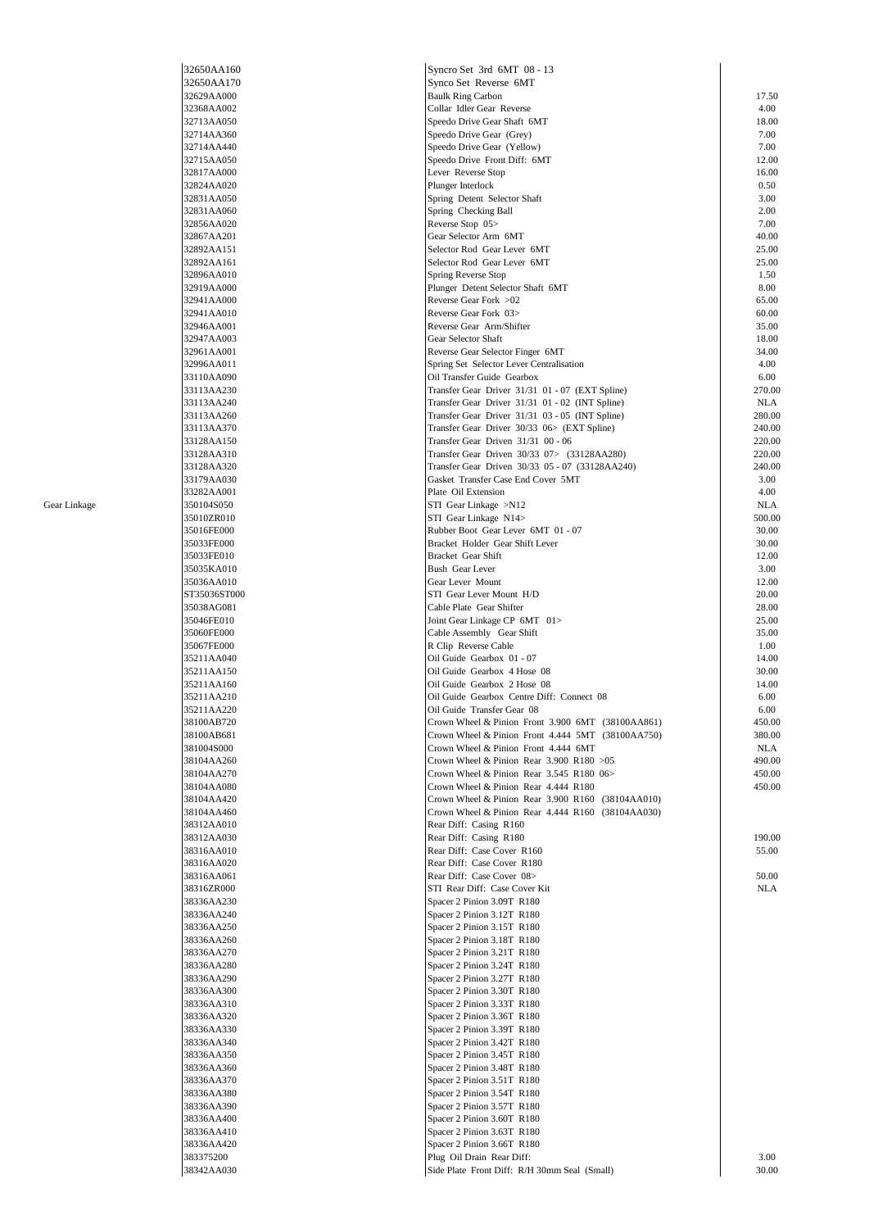| 32650AA160              |
|-------------------------|
| 32650AA170              |
| 32629AA000              |
| 32368AA002              |
| 32713AA050              |
| 32714AA360              |
| 32714AA440              |
| 32715AA050              |
| 32817AA000              |
| 32824AA020              |
|                         |
| 32831AA050              |
| 32831AA060              |
| 32856AA020              |
| 32867AA201              |
| 32892AA151              |
| 32892AA161              |
| 32896AA010              |
| 32919AA000              |
| 32941AA000              |
| 32941AA010              |
| 32946AA001              |
| 32947AA003              |
| 32961AA001              |
| 32996AA011              |
| 33110AA090              |
| 33113AA230              |
| 33113AA240              |
| 33113AA260              |
| 33113AA370              |
|                         |
| 33128AA150              |
| 33128AA310              |
| 33128AA320              |
| 33179AA030              |
| 33282AA001              |
| 350104S050              |
| 35010ZR010              |
| 35016FE000              |
| 35033FE000              |
| 35033FE010              |
| 35035KA010              |
| 35036AA010              |
| ST35036ST000            |
|                         |
| 35038AG081              |
|                         |
| 35046FE010              |
| 35060FE000              |
| 35067FE000              |
| 35211AA040              |
| 35211AA150              |
| 35211AA160              |
| 35211AA210              |
|                         |
| 35211AA220              |
| 38100AB720              |
| 38100AB681              |
| 381004S000              |
| 38104AA260              |
| 38104AA270              |
| 38104AA080              |
| 38104AA420              |
| 38104AA460              |
| 38312AA010              |
| 38312AA030              |
| 38316AA010              |
| 38316AA020              |
| 38316AA061              |
| 38316ZR000              |
| 38336AA230              |
| 38336AA240              |
| 38336AA250              |
|                         |
| 38336AA260              |
| 38336AA270              |
| 38336AA280              |
| 38336AA290              |
| 38336AA300              |
| 38336AA310              |
| 38336AA320              |
| 38336AA330              |
| 38336AA340              |
| 38336AA350              |
| 38336AA360              |
| 38336AA370              |
| 38336AA380              |
| 38336AA390              |
| 38336AA400              |
|                         |
| 38336AA410              |
| 38336AA420              |
| 383375200<br>38342AA030 |

|              | 32650AA160   | Syncro Set 3rd 6MT 08 - 13                        |                |
|--------------|--------------|---------------------------------------------------|----------------|
|              | 32650AA170   | Synco Set Reverse 6MT                             |                |
|              | 32629AA000   | <b>Baulk Ring Carbon</b>                          | 17.50          |
|              | 32368AA002   | Collar Idler Gear Reverse                         | 4.00           |
|              | 32713AA050   | Speedo Drive Gear Shaft 6MT                       | 18.00          |
|              |              |                                                   | 7.00           |
|              | 32714AA360   | Speedo Drive Gear (Grey)                          |                |
|              | 32714AA440   | Speedo Drive Gear (Yellow)                        | 7.00           |
|              | 32715AA050   | Speedo Drive Front Diff: 6MT                      | 12.00          |
|              | 32817AA000   | Lever Reverse Stop                                | 16.00          |
|              | 32824AA020   | Plunger Interlock                                 | 0.50           |
|              | 32831AA050   | Spring Detent Selector Shaft                      | 3.00           |
|              | 32831AA060   | Spring Checking Ball                              | 2.00           |
|              | 32856AA020   | Reverse Stop 05>                                  | 7.00           |
|              | 32867AA201   | Gear Selector Arm 6MT                             | 40.00          |
|              | 32892AA151   | Selector Rod Gear Lever 6MT                       | 25.00          |
|              | 32892AA161   | Selector Rod Gear Lever 6MT                       | 25.00          |
|              | 32896AA010   | Spring Reverse Stop                               | 1.50           |
|              | 32919AA000   | Plunger Detent Selector Shaft 6MT                 | 8.00           |
|              | 32941AA000   | Reverse Gear Fork >02                             | 65.00          |
|              | 32941AA010   | Reverse Gear Fork 03>                             | 60.00          |
|              | 32946AA001   | Reverse Gear Arm/Shifter                          | 35.00          |
|              | 32947AA003   | Gear Selector Shaft                               | 18.00          |
|              | 32961AA001   | Reverse Gear Selector Finger 6MT                  | 34.00          |
|              | 32996AA011   | Spring Set Selector Lever Centralisation          | 4.00           |
|              | 33110AA090   | Oil Transfer Guide Gearbox                        | 6.00           |
|              | 33113AA230   | Transfer Gear Driver 31/31 01 - 07 (EXT Spline)   | 270.00         |
|              | 33113AA240   | Transfer Gear Driver 31/31 01 - 02 (INT Spline)   | NLA            |
|              | 33113AA260   | Transfer Gear Driver 31/31 03 - 05 (INT Spline)   | 280.00         |
|              | 33113AA370   | Transfer Gear Driver 30/33 06> (EXT Spline)       | 240.00         |
|              | 33128AA150   | Transfer Gear Driven 31/31 00 - 06                | 220.00         |
|              | 33128AA310   | Transfer Gear Driven 30/33 07> (33128AA280)       | 220.00         |
|              |              |                                                   |                |
|              | 33128AA320   | Transfer Gear Driven 30/33 05 - 07 (33128AA240)   | 240.00<br>3.00 |
|              | 33179AA030   | Gasket Transfer Case End Cover 5MT                |                |
|              | 33282AA001   | Plate Oil Extension                               | 4.00           |
| Gear Linkage | 350104S050   | STI Gear Linkage >N12                             | <b>NLA</b>     |
|              | 35010ZR010   | STI Gear Linkage N14>                             | 500.00         |
|              | 35016FE000   | Rubber Boot Gear Lever 6MT 01 - 07                | 30.00          |
|              | 35033FE000   | Bracket Holder Gear Shift Lever                   | 30.00          |
|              | 35033FE010   | Bracket Gear Shift                                | 12.00          |
|              | 35035KA010   | Bush Gear Lever                                   | 3.00           |
|              | 35036AA010   | Gear Lever Mount                                  | 12.00          |
|              | ST35036ST000 | STI Gear Lever Mount H/D                          | 20.00          |
|              | 35038AG081   | Cable Plate Gear Shifter                          | 28.00          |
|              | 35046FE010   | Joint Gear Linkage CP 6MT 01>                     | 25.00          |
|              | 35060FE000   | Cable Assembly Gear Shift                         | 35.00          |
|              | 35067FE000   | R Clip Reverse Cable                              | 1.00           |
|              | 35211AA040   | Oil Guide Gearbox 01 - 07                         | 14.00          |
|              | 35211AA150   | Oil Guide Gearbox 4 Hose 08                       | 30.00          |
|              | 35211AA160   | Oil Guide Gearbox 2 Hose 08                       | 14.00          |
|              | 35211AA210   | Oil Guide Gearbox Centre Diff: Connect 08         | 6.00           |
|              | 35211AA220   | Oil Guide Transfer Gear 08                        | 6.00           |
|              |              |                                                   | 450.00         |
|              | 38100AB720   | Crown Wheel & Pinion Front 3.900 6MT (38100AA861) |                |
|              | 38100AB681   | Crown Wheel & Pinion Front 4.444 5MT (38100AA750) | 380.00         |
|              | 381004S000   | Crown Wheel & Pinion Front 4.444 6MT              | NLA            |
|              | 38104AA260   | Crown Wheel & Pinion Rear $3.900$ R180 $>05$      | 490.00         |
|              | 38104AA270   | Crown Wheel & Pinion Rear 3.545 R180 06>          | 450.00         |
|              | 38104AA080   | Crown Wheel & Pinion Rear 4.444 R180              | 450.00         |
|              | 38104AA420   | Crown Wheel & Pinion Rear 3.900 R160 (38104AA010) |                |
|              | 38104AA460   | Crown Wheel & Pinion Rear 4.444 R160 (38104AA030) |                |
|              | 38312AA010   | Rear Diff: Casing R160                            |                |
|              | 38312AA030   | Rear Diff: Casing R180                            | 190.00         |
|              | 38316AA010   | Rear Diff: Case Cover R160                        | 55.00          |
|              | 38316AA020   | Rear Diff: Case Cover R180                        |                |
|              | 38316AA061   | Rear Diff: Case Cover 08>                         | 50.00          |
|              | 38316ZR000   | STI Rear Diff: Case Cover Kit                     | NLA            |
|              | 38336AA230   | Spacer 2 Pinion 3.09T R180                        |                |
|              | 38336AA240   | Spacer 2 Pinion 3.12T R180                        |                |
|              | 38336AA250   | Spacer 2 Pinion 3.15T R180                        |                |
|              | 38336AA260   | Spacer 2 Pinion 3.18T R180                        |                |
|              | 38336AA270   | Spacer 2 Pinion 3.21T R180                        |                |
|              | 38336AA280   | Spacer 2 Pinion 3.24T R180                        |                |
|              | 38336AA290   | Spacer 2 Pinion 3.27T R180                        |                |
|              | 38336AA300   | Spacer 2 Pinion 3.30T R180                        |                |
|              | 38336AA310   | Spacer 2 Pinion 3.33T R180                        |                |
|              | 38336AA320   | Spacer 2 Pinion 3.36T R180                        |                |
|              | 38336AA330   | Spacer 2 Pinion 3.39T R180                        |                |
|              |              |                                                   |                |
|              | 38336AA340   | Spacer 2 Pinion 3.42T R180                        |                |
|              | 38336AA350   | Spacer 2 Pinion 3.45T R180                        |                |
|              | 38336AA360   | Spacer 2 Pinion 3.48T R180                        |                |
|              | 38336AA370   | Spacer 2 Pinion 3.51T R180                        |                |
|              | 38336AA380   | Spacer 2 Pinion 3.54T R180                        |                |
|              | 38336AA390   | Spacer 2 Pinion 3.57T R180                        |                |
|              | 38336AA400   | Spacer 2 Pinion 3.60T R180                        |                |
|              | 38336AA410   | Spacer 2 Pinion 3.63T R180                        |                |
|              | 38336AA420   | Spacer 2 Pinion 3.66T R180                        |                |
|              | 383375200    | Plug Oil Drain Rear Diff:                         | 3.00           |
|              | 38342AA030   | Side Plate Front Diff: R/H 30mm Seal (Small)      | 30.00          |
|              |              |                                                   |                |